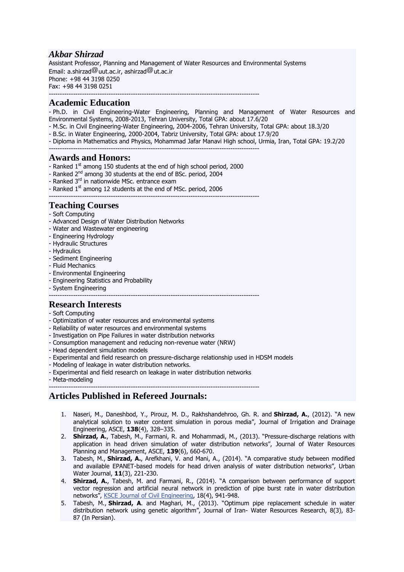# *Akbar Shirzad*

Assistant Professor, Planning and Management of Water Resources and Environmental Systems Email:  $a.s$ hirzad $^{\textcircled{\textcircled{\tiny d}}\textcirc}$ uut.ac.ir, ashirzad $^{\textcircled{\textcircled{\tiny d}}\textcirc}$ ut.ac.ir Phone: +98 44 3198 0250 Fax: +98 44 3198 0251 -----------------------------------------------------------------------------------------------

### **Academic Education**

- Ph.D. in Civil Engineering-Water Engineering, Planning and Management of Water Resources and Environmental Systems, 2008-2013, Tehran University, Total GPA: about 17.6/20

- M.Sc. in Civil Engineering-Water Engineering, 2004-2006, Tehran University, Total GPA: about 18.3/20
- B.Sc. in Water Engineering, 2000-2004, Tabriz University, Total GPA: about 17.9/20
- Diploma in Mathematics and Physics, Mohammad Jafar Manavi High school, Urmia, Iran, Total GPA: 19.2/20
- -----------------------------------------------------------------------------------------------

#### **Awards and Honors:**

- Ranked 1<sup>st</sup> among 150 students at the end of high school period, 2000

-----------------------------------------------------------------------------------------------

- Ranked 2<sup>nd</sup> among 30 students at the end of BSc. period, 2004
- Ranked 3<sup>rd</sup> in nationwide MSc. entrance exam
- Ranked 1<sup>st</sup> among 12 students at the end of MSc. period, 2006

# **Teaching Courses**

- Soft Computing
- Advanced Design of Water Distribution Networks
- Water and Wastewater engineering
- Engineering Hydrology
- Hydraulic Structures
- Hydraulics
- Sediment Engineering
- Fluid Mechanics
- Environmental Engineering
- Engineering Statistics and Probability
- System Engineering
- -----------------------------------------------------------------------------------------------

# **Research Interests**

- Soft Computing
- Optimization of water resources and environmental systems
- Reliability of water resources and environmental systems
- Investigation on Pipe Failures in water distribution networks
- Consumption management and reducing non-revenue water (NRW)
- Head dependent simulation models
- Experimental and field research on pressure-discharge relationship used in HDSM models
- Modeling of leakage in water distribution networks.
- Experimental and field research on leakage in water distribution networks
- Meta-modeling

-----------------------------------------------------------------------------------------------

### **Articles Published in Refereed Journals:**

- 1. Naseri, M., Daneshbod, Y., Pirouz, M. D., Rakhshandehroo, Gh. R. and **Shirzad, A.**, (2012). "A new analytical solution to water content simulation in porous media", Journal of Irrigation and Drainage Engineering, ASCE, **138**(4), 328–335.
- 2. **Shirzad, A.**, Tabesh, M., Farmani, R. and Mohammadi, M., (2013). "Pressure-discharge relations with application in head driven simulation of water distribution networks", Journal of Water Resources Planning and Management, ASCE, **139**(6), 660-670.
- 3. Tabesh, M., **Shirzad, A.**, Arefkhani, V. and Mani, A., (2014). "A comparative study between modified and available EPANET-based models for head driven analysis of water distribution networks", Urban Water Journal, **11**(3), 221-230.
- 4. **Shirzad, A.**, Tabesh, M. and Farmani, R., (2014). "A comparison between performance of support vector regression and artificial neural network in prediction of pipe burst rate in water distribution networks", KSCE Journal of Civil [Engineering,](http://link.springer.com/journal/12205) 18(4), 941-948.
- 5. Tabesh, M., **Shirzad, A**. and Maghari, M., (2013). "Optimum pipe replacement schedule in water distribution network using genetic algorithm", Journal of Iran- Water Resources Research, 8(3), 83- 87 (In Persian).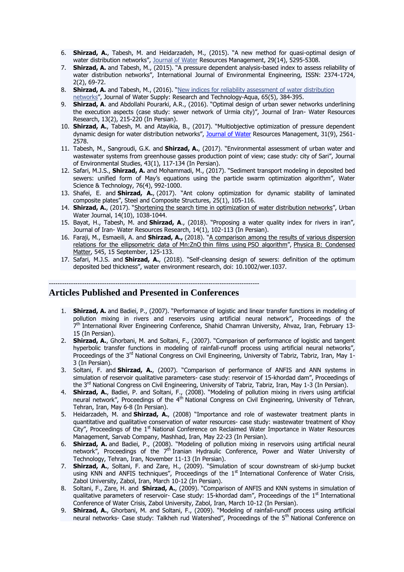- 6. **Shirzad, A.**, Tabesh, M. and Heidarzadeh, M., (2015). "A new method for quasi-optimal design of water distribution networks", [Journal](http://link.springer.com/journal/12205) of Water Resources Management, 29(14), 5295-5308.
- 7. **Shirzad, A.** and Tabesh, M., (2015). "A pressure dependent analysis-based index to assess reliability of water distribution networks", International Journal of Environmental Engineering, ISSN: 2374-1724, 2(2), 69-72.
- 8. **Shirzad, A.** and Tabesh, M., (2016). "New indices for reliability [assessment](https://scholar.google.com/citations?view_op=view_citation&hl=en&user=Mf9_S30AAAAJ&citation_for_view=Mf9_S30AAAAJ:zYLM7Y9cAGgC) of water distribution [networks](https://scholar.google.com/citations?view_op=view_citation&hl=en&user=Mf9_S30AAAAJ&citation_for_view=Mf9_S30AAAAJ:zYLM7Y9cAGgC)", Journal of Water Supply: Research and Technology-Aqua, 65(5), 384-395.
- 9. **Shirzad, A**. and Abdollahi Pourarki, A.R., (2016). "Optimal design of urban sewer networks underlining the execution aspects (case study: sewer network of Urmia city)", Journal of Iran- Water Resources Research, 13(2), 215-220 (In Persian).
- 10. **Shirzad, A.**, Tabesh, M. and Atayikia, B., (2017). "Multiobjective optimization of pressure dependent dynamic design for water distribution networks", [Journal](http://link.springer.com/journal/12205) of Water Resources Management, 31(9), 2561-2578.
- 11. Tabesh, M., Sangroudi, G.K. and **Shirzad, A.**, (2017). "Environmental assessment of urban water and wastewater systems from greenhouse gasses production point of view; case study: city of Sari", Journal of Environmental Studies, 43(1), 117-134 (In Persian).
- 12. Safari, M.J.S., **Shirzad, A.** and Mohammadi, M., (2017). "Sediment transport modeling in deposited bed sewers: unified form of May's equations using the particle swarm optimization algorithm", Water Science & Technology, 76(4), 992-1000.
- 13. Shafei, E. and **Shirzad, A.**, (2017). "Ant colony optimization for dynamic stability of laminated composite plates", Steel and Composite Structures, 25(1), 105-116.
- 14. **Shirzad, A.**, (2017). "Shortening the search time in [optimization](http://www.tandfonline.com/doi/full/10.1080/1573062X.2017.1325502) of water distribution networks", Urban Water Journal, 14(10), 1038-1044.
- 15. Bayat, H., Tabesh, M. and **Shirzad, A**., (2018). "Proposing a water quality index for rivers in iran", Journal of Iran- Water Resources Research, 14(1), 102-113 (In Persian).
- 16. Faraji, M., Esmaeili, A. and **Shirzad, A.,** (2018). "A [comparison](https://www.sciencedirect.com/science/article/pii/S0921452618303533) among the results of various dispersion relations for the [ellipsometric](https://www.sciencedirect.com/science/article/pii/S0921452618303533) data of Mn:ZnO thin films using PSO algorithm", Physica B: [Condensed](https://www.sciencedirect.com/science/journal/09214526) [Matter,](https://www.sciencedirect.com/science/journal/09214526) 545, 15 September, 125-133.
- 17. Safari, M.J.S. and **Shirzad, A.**, (2018). "Self-cleansing design of sewers: definition of the optimum deposited bed thickness", water environment research, doi: 10.1002/wer.1037.

#### ----------------------------------------------------------------------------------------------- **Articles Published and Presented in Conferences**

- 1. **Shirzad, A.** and Badiei, P., (2007). "Performance of logistic and linear transfer functions in modeling of pollution mixing in rivers and reservoirs using artificial neural network", Proceedings of the 7<sup>th</sup> International River Engineering Conference, Shahid Chamran University, Ahvaz, Iran, February 13-15 (In Persian).
- 2. **Shirzad, A.**, Ghorbani, M. and Soltani, F., (2007). "Comparison of performance of logistic and tangent hyperbolic transfer functions in modeling of rainfall-runoff process using artificial neural networks", Proceedings of the 3<sup>rd</sup> National Congress on Civil Engineering, University of Tabriz, Tabriz, Iran, May 1-3 (In Persian).
- 3. Soltani, F. and **Shirzad, A.**, (2007). "Comparison of performance of ANFIS and ANN systems in simulation of reservoir qualitative parameters- case study: reservoir of 15-khordad dam", Proceedings of the 3<sup>rd</sup> National Congress on Civil Engineering, University of Tabriz, Tabriz, Iran, May 1-3 (In Persian).
- 4. **Shirzad, A.**, Badiei, P. and Soltani, F., (2008). "Modeling of pollution mixing in rivers using artificial neural network", Proceedings of the 4<sup>th</sup> National Congress on Civil Engineering, University of Tehran, Tehran, Iran, May 6-8 (In Persian).
- 5. Heidarzadeh, M. and **Shirzad, A.**, (2008) "Importance and role of wastewater treatment plants in quantitative and qualitative conservation of water resources- case study: wastewater treatment of Khoy City", Proceedings of the  $1<sup>st</sup>$  National Conference on Reclaimed Water Importance in Water Resources Management, Sarvab Company, Mashhad, Iran, May 22-23 (In Persian).
- 6. **Shirzad, A.** and Badiei, P., (2008). "Modeling of pollution mixing in reservoirs using artificial neural network", Proceedings of the 7<sup>th</sup> Iranian Hydraulic Conference, Power and Water University of Technology, Tehran, Iran, November 11-13 (In Persian).
- 7. **Shirzad, A.**, Soltani, F. and Zare, H., (2009). "Simulation of scour downstream of ski-jump bucket using KNN and ANFIS techniques", Proceedings of the  $1<sup>st</sup>$  International Conference of Water Crisis, Zabol University, Zabol, Iran, March 10-12 (In Persian).
- 8. Soltani, F., Zare, H. and **Shirzad, A.**, (2009). "Comparison of ANFIS and KNN systems in simulation of qualitative parameters of reservoir- Case study: 15-khordad dam", Proceedings of the 1<sup>st</sup> International Conference of Water Crisis, Zabol University, Zabol, Iran, March 10-12 (In Persian).
- 9. **Shirzad, A.**, Ghorbani, M. and Soltani, F., (2009). "Modeling of rainfall-runoff process using artificial neural networks- Case study: Talkheh rud Watershed", Proceedings of the 5<sup>th</sup> National Conference on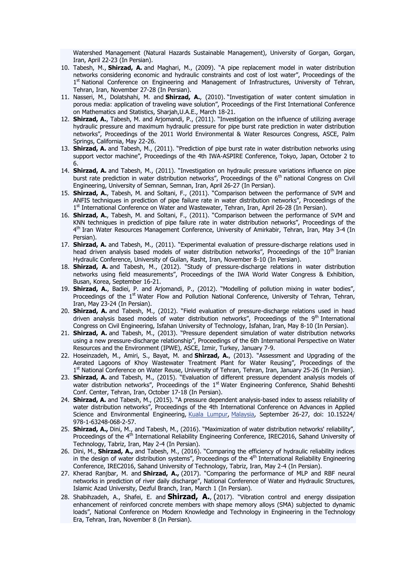Watershed Management (Natural Hazards Sustainable Management), University of Gorgan, Gorgan, Iran, April 22-23 (In Persian).

- 10. Tabesh, M., **Shirzad, A.** and Maghari, M., (2009). "A pipe replacement model in water distribution networks considering economic and hydraulic constraints and cost of lost water", Proceedings of the 1<sup>st</sup> National Conference on Engineering and Management of Infrastructures, University of Tehran, Tehran, Iran, November 27-28 (In Persian).
- 11. Nasseri, M., Dolatshahi, M. and **Shirzad, A.**, (2010). "Investigation of water content simulation in porous media: application of traveling wave solution", Proceedings of the First International Conference on Mathematics and Statistics, Sharjah,U.A.E., March 18-21.
- 12. **Shirzad, A.**, Tabesh, M. and Arjomandi, P., (2011). "Investigation on the influence of utilizing average hydraulic pressure and maximum hydraulic pressure for pipe burst rate prediction in water distribution networks", Proceedings of the 2011 World Environmental & Water Resources Congress, ASCE, Palm Springs, California, May 22-26.
- 13. **Shirzad, A.** and Tabesh, M., (2011). "Prediction of pipe burst rate in water distribution networks using support vector machine", Proceedings of the 4th IWA-ASPIRE Conference, Tokyo, Japan, October 2 to 6.
- 14. **Shirzad, A.** and Tabesh, M., (2011). "Investigation on hydraulic pressure variations influence on pipe burst rate prediction in water distribution networks", Proceedings of the 6<sup>th</sup> national Congress on Civil Engineering, University of Semnan, Semnan, Iran, April 26-27 (In Persian).
- 15. **Shirzad, A.**, Tabesh, M. and Soltani, F., (2011). "Comparison between the performance of SVM and ANFIS techniques in prediction of pipe failure rate in water distribution networks", Proceedings of the 1<sup>st</sup> International Conference on Water and Wastewater, Tehran, Iran, April 26-28 (In Persian).
- 16. **Shirzad, A.**, Tabesh, M. and Soltani, F., (2011). "Comparison between the performance of SVM and KNN techniques in prediction of pipe failure rate in water distribution networks", Proceedings of the 4<sup>th</sup> Iran Water Resources Management Conference, University of Amirkabir, Tehran, Iran, May 3-4 (In Persian).
- 17. **Shirzad, A.** and Tabesh, M., (2011). "Experimental evaluation of pressure-discharge relations used in head driven analysis based models of water distribution networks", Proceedings of the 10<sup>th</sup> Iranian Hydraulic Conference, University of Guilan, Rasht, Iran, November 8-10 (In Persian).
- 18. **Shirzad, A.** and Tabesh, M., (2012). "Study of pressure-discharge relations in water distribution networks using field measurements", Proceedings of the IWA World Water Congress & Exhibition, Busan, Korea, September 16-21.
- 19. **Shirzad, A.**, Badiei, P. and Arjomandi, P., (2012). "Modelling of pollution mixing in water bodies", Proceedings of the 1<sup>st</sup> Water Flow and Pollution National Conference, University of Tehran, Tehran, Iran, May 23-24 (In Persian).
- 20. **Shirzad, A.** and Tabesh, M., (2012). "Field evaluation of pressure-discharge relations used in head driven analysis based models of water distribution networks", Proceedings of the 9<sup>th</sup> International Congress on Civil Engineering, Isfahan University of Technology, Isfahan, Iran, May 8-10 (In Persian).
- 21. **Shirzad, A.** and Tabesh, M., (2013). "Pressure dependent simulation of water distribution networks using a new pressure-discharge relationship", Proceedings of the 6th International Perspective on Water Resources and the Environment (IPWE), ASCE, Izmir, Turkey, January 7-9.
- 22. Hoseinzadeh, M., Amiri, S., Bayat, M. and **Shirzad, A.**, (2013). "Assessment and Upgrading of the Aerated Lagoons of Khoy Wastewater Treatment Plant for Water Reusing", Proceedings of the 1<sup>st</sup> National Conference on Water Reuse, University of Tehran, Tehran, Iran, January 25-26 (In Persian).
- 23. **Shirzad, A.** and Tabesh, M., (2015). "Evaluation of different pressure dependent analysis models of water distribution networks", Proceedings of the 1<sup>st</sup> Water Engineering Conference, Shahid Beheshti Conf. Center, Tehran, Iran, October 17-18 (In Persian).
- 24. **Shirzad, A.** and Tabesh, M., (2015). "A pressure dependent analysis-based index to assess reliability of water distribution networks", Proceedings of the 4th International Conference on Advances in Applied Science and Environmental Engineering, Kuala [Lumpur,](http://10times.com/kualalumpur-my/conferences) [Malaysia,](http://10times.com/malaysia/conferences) September 26-27, doi: 10.15224/ 978-1-63248-068-2-57.
- 25. **Shirzad, A.,** Dini, M., and Tabesh, M., (2016). "Maximization of water distribution networks' reliability", Proceedings of the 4th International Reliability Engineering Conference, IREC2016, Sahand University of Technology, Tabriz, Iran, May 2-4 (In Persian).
- 26. Dini, M., **Shirzad, A.,** and Tabesh, M., (2016). "Comparing the efficiency of hydraulic reliability indices in the design of water distribution systems", Proceedings of the  $4<sup>th</sup>$  International Reliability Engineering Conference, IREC2016, Sahand University of Technology, Tabriz, Iran, May 2-4 (In Persian).
- 27. Kherad Ranjbar, M. and **Shirzad, A.,** (2017). "Comparing the performance of MLP and RBF neural networks in prediction of river daily discharge", National Conference of Water and Hydraulic Structures, Islamic Azad University, Dezful Branch, Iran, March 1 (In Persian).
- 28. Shabihzadeh, A., Shafei, E. and **Shirzad, A.**, (2017). "Vibration control and energy dissipation enhancement of reinforced concrete members with shape memory alloys (SMA) subjected to dynamic loads", National Conference on Modern Knowledge and Technology in Engineering in the Technology Era, Tehran, Iran, November 8 (In Persian).